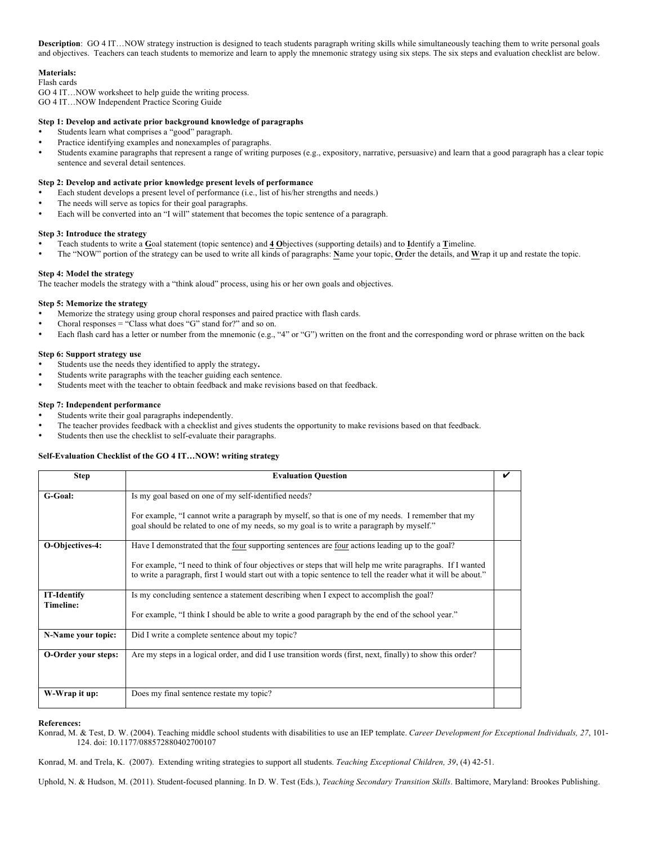Description: GO 4 IT...NOW strategy instruction is designed to teach students paragraph writing skills while simultaneously teaching them to write personal goals and objectives. Teachers can teach students to memorize and learn to apply the mnemonic strategy using six steps. The six steps and evaluation checklist are below.

# **Materials:**

Flash cards

GO 4 IT…NOW worksheet to help guide the writing process.

GO 4 IT…NOW Independent Practice Scoring Guide

# **Step 1: Develop and activate prior background knowledge of paragraphs**

- Students learn what comprises a "good" paragraph.
- Practice identifying examples and nonexamples of paragraphs.
- Students examine paragraphs that represent a range of writing purposes (e.g., expository, narrative, persuasive) and learn that a good paragraph has a clear topic sentence and several detail sentences.

## **Step 2: Develop and activate prior knowledge present levels of performance**

- Each student develops a present level of performance (i.e., list of his/her strengths and needs.)
- The needs will serve as topics for their goal paragraphs.
- Each will be converted into an "I will" statement that becomes the topic sentence of a paragraph.

### **Step 3: Introduce the strategy**

- Teach students to write a **G**oal statement (topic sentence) and **4 O**bjectives (supporting details) and to **I**dentify a **T**imeline.
- The "NOW" portion of the strategy can be used to write all kinds of paragraphs: **N**ame your topic, **O**rder the details, and **W**rap it up and restate the topic.

## **Step 4: Model the strategy**

The teacher models the strategy with a "think aloud" process, using his or her own goals and objectives.

## **Step 5: Memorize the strategy**

- Memorize the strategy using group choral responses and paired practice with flash cards.
- Choral responses = "Class what does "G" stand for?" and so on.
- Each flash card has a letter or number from the mnemonic (e.g., "4" or "G") written on the front and the corresponding word or phrase written on the back

## **Step 6: Support strategy use**

- Students use the needs they identified to apply the strategy**.**
- Students write paragraphs with the teacher guiding each sentence.
- Students meet with the teacher to obtain feedback and make revisions based on that feedback.

## **Step 7: Independent performance**

- Students write their goal paragraphs independently.
- The teacher provides feedback with a checklist and gives students the opportunity to make revisions based on that feedback.
- Students then use the checklist to self-evaluate their paragraphs.

### **Self-Evaluation Checklist of the GO 4 IT…NOW! writing strategy**

| <b>Step</b>                     | <b>Evaluation Question</b>                                                                                                                                                                                                  |  |
|---------------------------------|-----------------------------------------------------------------------------------------------------------------------------------------------------------------------------------------------------------------------------|--|
| G-Goal:                         | Is my goal based on one of my self-identified needs?                                                                                                                                                                        |  |
|                                 | For example, "I cannot write a paragraph by myself, so that is one of my needs. I remember that my<br>goal should be related to one of my needs, so my goal is to write a paragraph by myself."                             |  |
| O-Objectives-4:                 | Have I demonstrated that the four supporting sentences are four actions leading up to the goal?                                                                                                                             |  |
|                                 | For example, "I need to think of four objectives or steps that will help me write paragraphs. If I wanted<br>to write a paragraph, first I would start out with a topic sentence to tell the reader what it will be about." |  |
| <b>IT-Identify</b><br>Timeline: | Is my concluding sentence a statement describing when I expect to accomplish the goal?                                                                                                                                      |  |
|                                 | For example, "I think I should be able to write a good paragraph by the end of the school year."                                                                                                                            |  |
| N-Name your topic:              | Did I write a complete sentence about my topic?                                                                                                                                                                             |  |
| O-Order your steps:             | Are my steps in a logical order, and did I use transition words (first, next, finally) to show this order?                                                                                                                  |  |
|                                 |                                                                                                                                                                                                                             |  |
| W-Wrap it up:                   | Does my final sentence restate my topic?                                                                                                                                                                                    |  |

#### **References:**

Konrad, M. & Test, D. W. (2004). Teaching middle school students with disabilities to use an IEP template. *Career Development for Exceptional Individuals, 27*, 101- 124. doi: 10.1177/088572880402700107

Konrad, M. and Trela, K. (2007). Extending writing strategies to support all students. *Teaching Exceptional Children, 39*, (4) 42-51.

Uphold, N. & Hudson, M. (2011). Student-focused planning. In D. W. Test (Eds.), *Teaching Secondary Transition Skills*. Baltimore, Maryland: Brookes Publishing.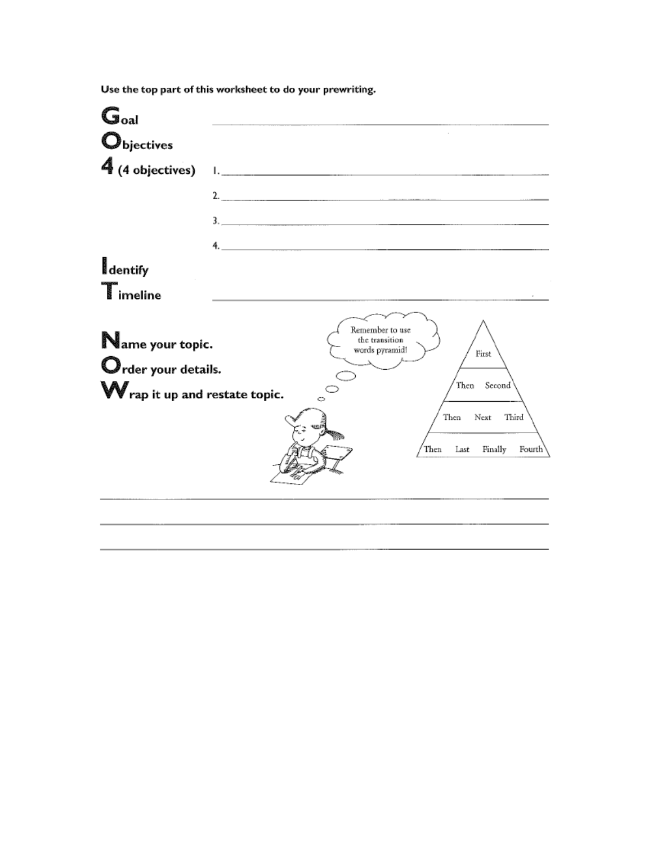| $\mathbb{G}_{\text{oal}}$      |                                                                              |
|--------------------------------|------------------------------------------------------------------------------|
| Objectives                     |                                                                              |
| 4<br>(4 objectives)            | Learning and the contract of the contract of the contract of the contract of |
|                                |                                                                              |
|                                | 3.                                                                           |
|                                | 4. $\overline{a}$                                                            |
| dentify                        |                                                                              |
| █ imeline                      |                                                                              |
| Name your topic.               | Remember to use<br>the transition<br>words pyramid!<br>First                 |
| Order your details.            | Second<br>Then                                                               |
| W rap it up and restate topic. | O                                                                            |
|                                | Next<br>Third<br>Then                                                        |
|                                | Finally<br>Then<br>Last<br>Fourth                                            |
|                                |                                                                              |
|                                |                                                                              |

Use the top part of this worksheet to do your prewriting.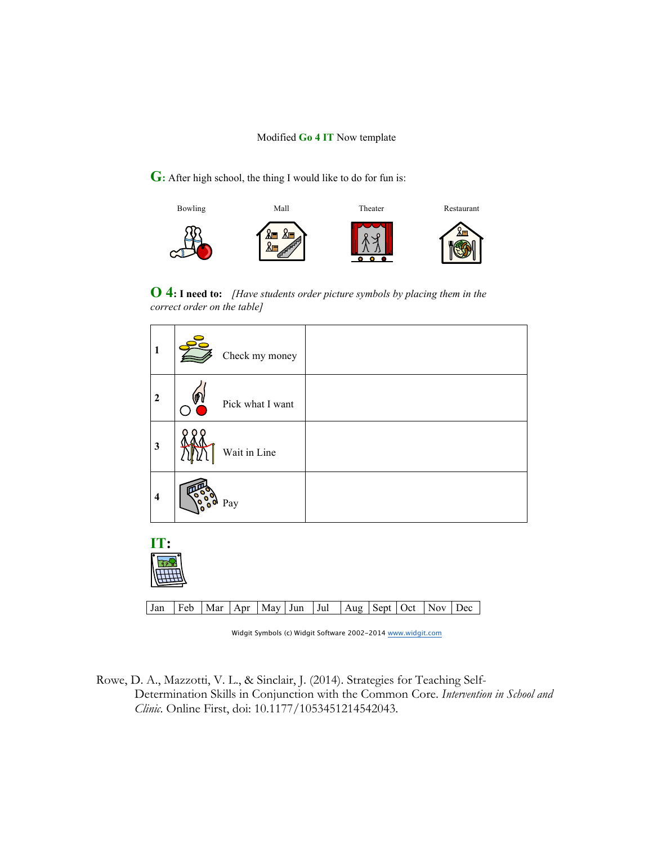**G:** After high school, the thing I would like to do for fun is:



**O 4: I need to:** *[Have students order picture symbols by placing them in the correct order on the table]*

| $\mathbf{1}$            | Check my money   |  |
|-------------------------|------------------|--|
| $\overline{2}$          | Pick what I want |  |
| $\mathbf{3}$            | Wait in Line     |  |
| $\overline{\mathbf{4}}$ | Pay              |  |
|                         |                  |  |



Jan | Feb | Mar | Apr | May | Jun | Jul | Aug | Sept | Oct | Nov | Dec

Widgit Symbols (c) Widgit Software 2002-2014 www.widgit.com

Rowe, D. A., Mazzotti, V. L., & Sinclair, J. (2014). Strategies for Teaching Self-Determination Skills in Conjunction with the Common Core. *Intervention in School and Clinic*. Online First, doi: 10.1177/1053451214542043.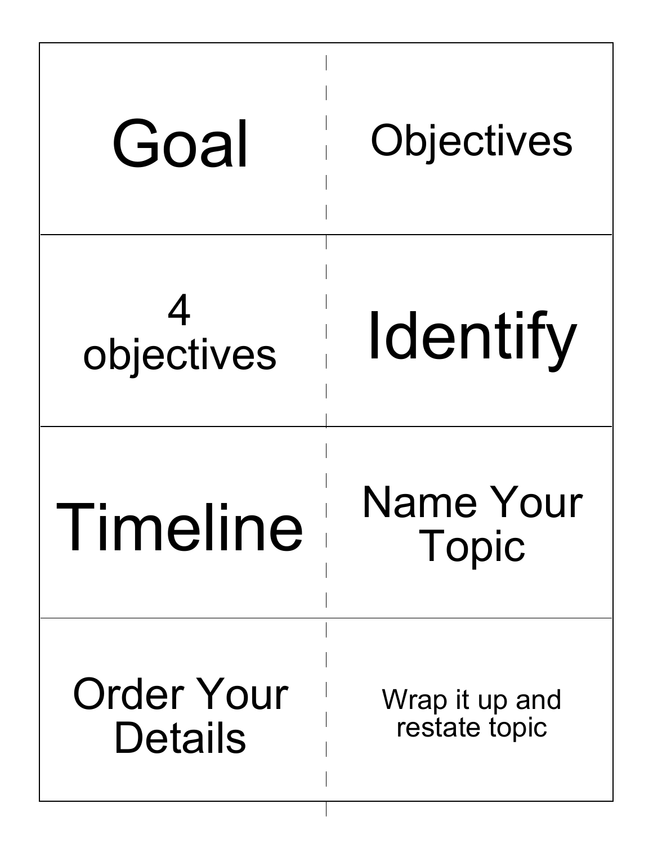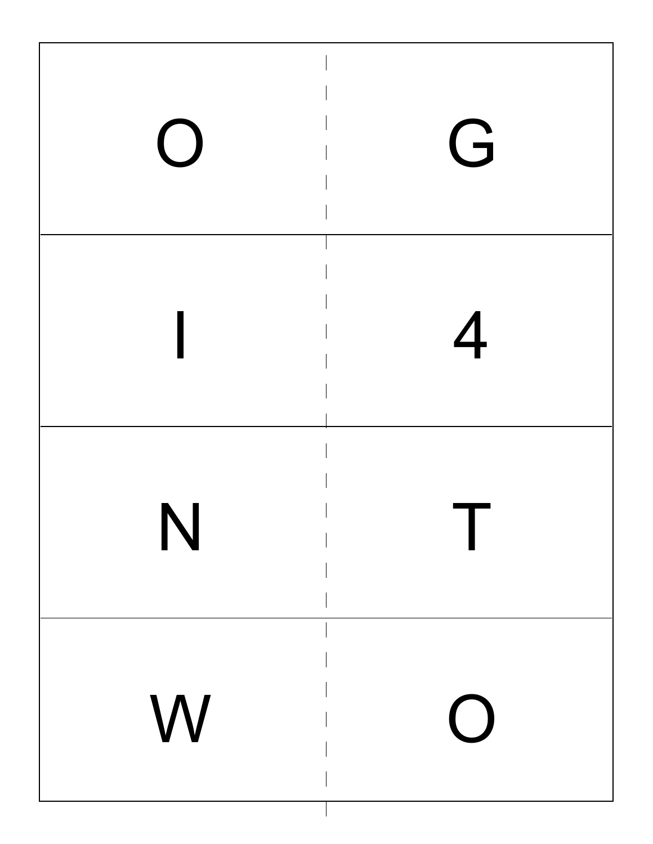